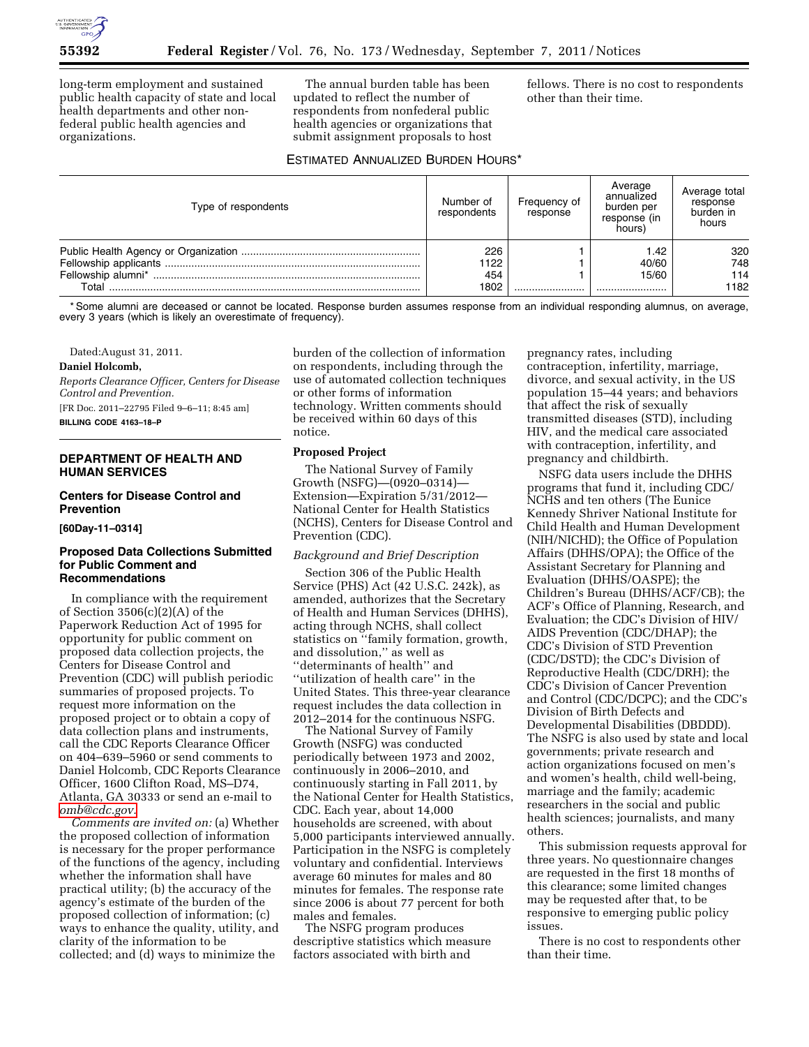

long-term employment and sustained public health capacity of state and local health departments and other nonfederal public health agencies and organizations.

The annual burden table has been updated to reflect the number of respondents from nonfederal public health agencies or organizations that submit assignment proposals to host

fellows. There is no cost to respondents other than their time.

# ESTIMATED ANNUALIZED BURDEN HOURS\*

| Type of respondents | Number of<br>respondents | Frequency of<br>response | Average<br>annualized<br>burden per<br>response (in<br>hours) | Average total<br>response<br>burden in<br>hours |
|---------------------|--------------------------|--------------------------|---------------------------------------------------------------|-------------------------------------------------|
|                     | 226                      |                          | 42. ا                                                         | 320                                             |
|                     | 1122                     |                          | 40/60                                                         | 748                                             |
|                     | 454                      |                          | 15/60                                                         | 114                                             |
| Total               | 1802                     |                          |                                                               | 1182                                            |

\* Some alumni are deceased or cannot be located. Response burden assumes response from an individual responding alumnus, on average, every 3 years (which is likely an overestimate of frequency).

Dated:August 31, 2011.

#### **Daniel Holcomb,**

*Reports Clearance Officer, Centers for Disease Control and Prevention.* 

[FR Doc. 2011–22795 Filed 9–6–11; 8:45 am]

**BILLING CODE 4163–18–P** 

### **DEPARTMENT OF HEALTH AND HUMAN SERVICES**

# **Centers for Disease Control and Prevention**

**[60Day-11–0314]** 

### **Proposed Data Collections Submitted for Public Comment and Recommendations**

In compliance with the requirement of Section 3506(c)(2)(A) of the Paperwork Reduction Act of 1995 for opportunity for public comment on proposed data collection projects, the Centers for Disease Control and Prevention (CDC) will publish periodic summaries of proposed projects. To request more information on the proposed project or to obtain a copy of data collection plans and instruments, call the CDC Reports Clearance Officer on 404–639–5960 or send comments to Daniel Holcomb, CDC Reports Clearance Officer, 1600 Clifton Road, MS–D74, Atlanta, GA 30333 or send an e-mail to *[omb@cdc.gov.](mailto:omb@cdc.gov)* 

*Comments are invited on:* (a) Whether the proposed collection of information is necessary for the proper performance of the functions of the agency, including whether the information shall have practical utility; (b) the accuracy of the agency's estimate of the burden of the proposed collection of information; (c) ways to enhance the quality, utility, and clarity of the information to be collected; and (d) ways to minimize the

burden of the collection of information on respondents, including through the use of automated collection techniques or other forms of information technology. Written comments should be received within 60 days of this notice.

#### **Proposed Project**

The National Survey of Family Growth (NSFG)—(0920–0314)— Extension—Expiration 5/31/2012— National Center for Health Statistics (NCHS), Centers for Disease Control and Prevention (CDC).

#### *Background and Brief Description*

Section 306 of the Public Health Service (PHS) Act (42 U.S.C. 242k), as amended, authorizes that the Secretary of Health and Human Services (DHHS), acting through NCHS, shall collect statistics on ''family formation, growth, and dissolution,'' as well as ''determinants of health'' and ''utilization of health care'' in the United States. This three-year clearance request includes the data collection in 2012–2014 for the continuous NSFG.

The National Survey of Family Growth (NSFG) was conducted periodically between 1973 and 2002, continuously in 2006–2010, and continuously starting in Fall 2011, by the National Center for Health Statistics, CDC. Each year, about 14,000 households are screened, with about 5,000 participants interviewed annually. Participation in the NSFG is completely voluntary and confidential. Interviews average 60 minutes for males and 80 minutes for females. The response rate since 2006 is about 77 percent for both males and females.

The NSFG program produces descriptive statistics which measure factors associated with birth and

pregnancy rates, including contraception, infertility, marriage, divorce, and sexual activity, in the US population 15–44 years; and behaviors that affect the risk of sexually transmitted diseases (STD), including HIV, and the medical care associated with contraception, infertility, and pregnancy and childbirth.

NSFG data users include the DHHS programs that fund it, including CDC/ NCHS and ten others (The Eunice Kennedy Shriver National Institute for Child Health and Human Development (NIH/NICHD); the Office of Population Affairs (DHHS/OPA); the Office of the Assistant Secretary for Planning and Evaluation (DHHS/OASPE); the Children's Bureau (DHHS/ACF/CB); the ACF's Office of Planning, Research, and Evaluation; the CDC's Division of HIV/ AIDS Prevention (CDC/DHAP); the CDC's Division of STD Prevention (CDC/DSTD); the CDC's Division of Reproductive Health (CDC/DRH); the CDC's Division of Cancer Prevention and Control (CDC/DCPC); and the CDC's Division of Birth Defects and Developmental Disabilities (DBDDD). The NSFG is also used by state and local governments; private research and action organizations focused on men's and women's health, child well-being, marriage and the family; academic researchers in the social and public health sciences; journalists, and many others.

This submission requests approval for three years. No questionnaire changes are requested in the first 18 months of this clearance; some limited changes may be requested after that, to be responsive to emerging public policy issues.

There is no cost to respondents other than their time.